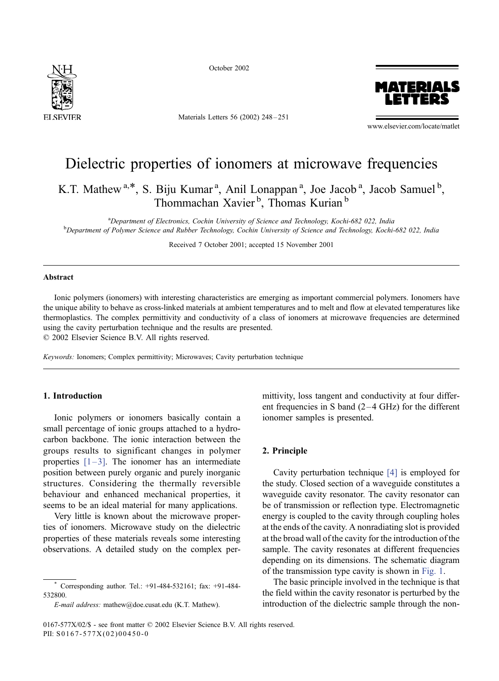

October 2002

Materials Letters 56 (2002) 248 – 251



www.elsevier.com/locate/matlet

# Dielectric properties of ionomers at microwave frequencies

K.T. Mathew<sup>a,\*</sup>, S. Biju Kumar<sup>a</sup>, Anil Lonappan<sup>a</sup>, Joe Jacob<sup>a</sup>, Jacob Samuel<sup>b</sup>, Thommachan Xavier<sup>b</sup>, Thomas Kurian<sup>b</sup>

<sup>a</sup> Department of Electronics, Cochin University of Science and Technology, Kochi-682 022, India<br><sup>b</sup> Department of Polymer Science and Pubber Technology, Cochin University of Science and Technology, Kochi  $b$ Department of Polymer Science and Rubber Technology, Cochin University of Science and Technology, Kochi-682 022, India

Received 7 October 2001; accepted 15 November 2001

#### Abstract

Ionic polymers (ionomers) with interesting characteristics are emerging as important commercial polymers. Ionomers have the unique ability to behave as cross-linked materials at ambient temperatures and to melt and flow at elevated temperatures like thermoplastics. The complex permittivity and conductivity of a class of ionomers at microwave frequencies are determined using the cavity perturbation technique and the results are presented.  $© 2002 Elsevier Science B.V. All rights reserved.$ 

Keywords: Ionomers; Complex permittivity; Microwaves; Cavity perturbation technique

## 1. Introduction

Ionic polymers or ionomers basically contain a small percentage of ionic groups attached to a hydrocarbon backbone. The ionic interaction between the groups results to significant changes in polymer properties  $[1-3]$ . The ionomer has an intermediate position between purely organic and purely inorganic structures. Considering the thermally reversible behaviour and enhanced mechanical properties, it seems to be an ideal material for many applications.

Very little is known about the microwave properties of ionomers. Microwave study on the dielectric properties of these materials reveals some interesting observations. A detailed study on the complex permittivity, loss tangent and conductivity at four different frequencies in S band  $(2-4 \text{ GHz})$  for the different ionomer samples is presented.

#### 2. Principle

Cavity perturbation technique [\[4\]](#page-3-0) is employed for the study. Closed section of a waveguide constitutes a waveguide cavity resonator. The cavity resonator can be of transmission or reflection type. Electromagnetic energy is coupled to the cavity through coupling holes at the ends of the cavity. A nonradiating slot is provided at the broad wall of the cavity for the introduction of the sample. The cavity resonates at different frequencies depending on its dimensions. The schematic diagram of the transmission type cavity is shown in [Fig. 1.](#page-1-0)

The basic principle involved in the technique is that the field within the cavity resonator is perturbed by the introduction of the dielectric sample through the non-

Corresponding author. Tel.: +91-484-532161; fax: +91-484-532800.

E-mail address: mathew@doe.cusat.edu (K.T. Mathew).

<sup>0167-577</sup>X/02/\$ - see front matter © 2002 Elsevier Science B.V. All rights reserved. PII: S0167-577X(02)00450-0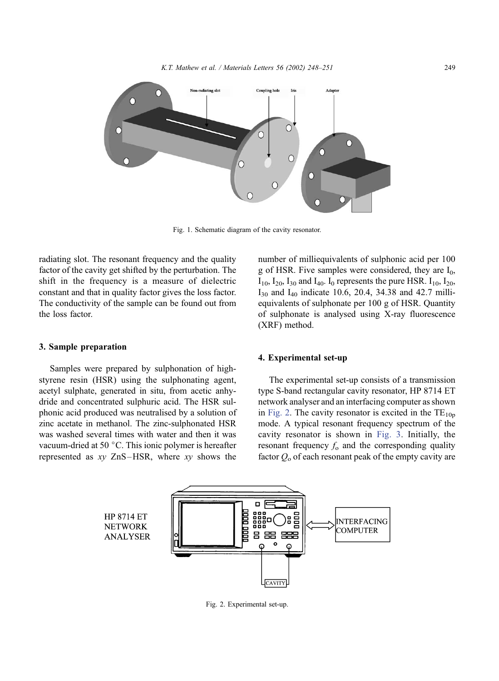<span id="page-1-0"></span>

Fig. 1. Schematic diagram of the cavity resonator.

radiating slot. The resonant frequency and the quality factor of the cavity get shifted by the perturbation. The shift in the frequency is a measure of dielectric constant and that in quality factor gives the loss factor. The conductivity of the sample can be found out from the loss factor.

### 3. Sample preparation

Samples were prepared by sulphonation of highstyrene resin (HSR) using the sulphonating agent, acetyl sulphate, generated in situ, from acetic anhydride and concentrated sulphuric acid. The HSR sulphonic acid produced was neutralised by a solution of zinc acetate in methanol. The zinc-sulphonated HSR was washed several times with water and then it was vacuum-dried at 50  $\degree$ C. This ionic polymer is hereafter represented as  $xy$  ZnS-HSR, where  $xy$  shows the

number of milliequivalents of sulphonic acid per 100 g of HSR. Five samples were considered, they are  $I_0$ ,  $I_{10}$ ,  $I_{20}$ ,  $I_{30}$  and  $I_{40}$ . I<sub>0</sub> represents the pure HSR.  $I_{10}$ ,  $I_{20}$ ,  $I_{30}$  and  $I_{40}$  indicate 10.6, 20.4, 34.38 and 42.7 milliequivalents of sulphonate per 100 g of HSR. Quantity of sulphonate is analysed using X-ray fluorescence (XRF) method.

#### 4. Experimental set-up

The experimental set-up consists of a transmission type S-band rectangular cavity resonator, HP 8714 ET network analyser and an interfacing computer as shown in Fig. 2. The cavity resonator is excited in the  $TE_{10p}$ mode. A typical resonant frequency spectrum of the cavity resonator is shown in [Fig. 3.](#page-2-0) Initially, the resonant frequency  $f_0$  and the corresponding quality factor  $Q_0$  of each resonant peak of the empty cavity are



Fig. 2. Experimental set-up.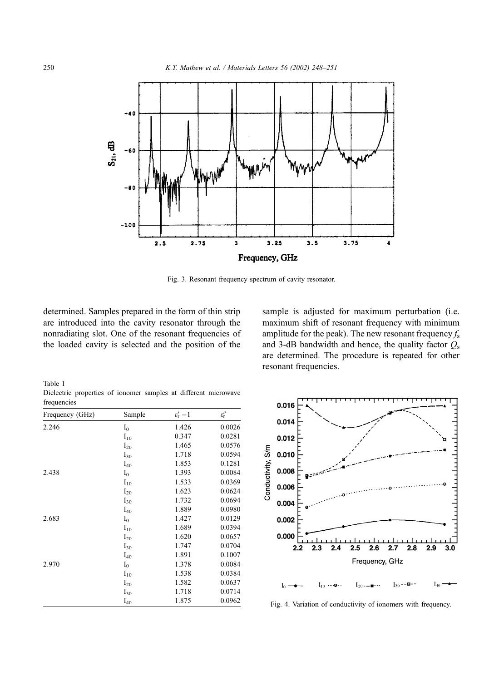<span id="page-2-0"></span>

Fig. 3. Resonant frequency spectrum of cavity resonator.

determined. Samples prepared in the form of thin strip are introduced into the cavity resonator through the nonradiating slot. One of the resonant frequencies of the loaded cavity is selected and the position of the

Dielectric properties of ionomer samples at different

sample is adjusted for maximum perturbation (i.e. maximum shift of resonant frequency with minimum amplitude for the peak). The new resonant frequency  $f_s$ and 3-dB bandwidth and hence, the quality factor  $Q_s$ are determined. The procedure is repeated for other resonant frequencies.

| Frequency (GHz) | Sample   | $\varepsilon_{\rm r}^{\prime}$ -1 | $\varepsilon_{\rm r}''$ |
|-----------------|----------|-----------------------------------|-------------------------|
| 2.246           | $I_0$    | 1.426                             | 0.0026                  |
|                 | $I_{10}$ | 0.347                             | 0.0281                  |
|                 | $I_{20}$ | 1.465                             | 0.0576                  |
|                 | $I_{30}$ | 1.718                             | 0.0594                  |
|                 | $I_{40}$ | 1.853                             | 0.1281                  |
| 2.438           | $I_0$    | 1.393                             | 0.0084                  |
|                 | $I_{10}$ | 1.533                             | 0.0369                  |
|                 | $I_{20}$ | 1.623                             | 0.0624                  |
|                 | $I_{30}$ | 1.732                             | 0.0694                  |
|                 | $I_{40}$ | 1.889                             | 0.0980                  |
| 2.683           | $I_0$    | 1.427                             | 0.0129                  |
|                 | $I_{10}$ | 1.689                             | 0.0394                  |
|                 | $I_{20}$ | 1.620                             | 0.0657                  |
|                 | $I_{30}$ | 1.747                             | 0.0704                  |
|                 | $I_{40}$ | 1.891                             | 0.1007                  |
| 2.970           | $I_0$    | 1.378                             | 0.0084                  |
|                 | $I_{10}$ | 1.538                             | 0.0384                  |
|                 | $I_{20}$ | 1.582                             | 0.0637                  |
|                 | $I_{30}$ | 1.718                             | 0.0714                  |
|                 | $I_{40}$ | 1.875                             | 0.0962                  |



Fig. 4. Variation of conductivity of ionomers with frequency.

Table 1